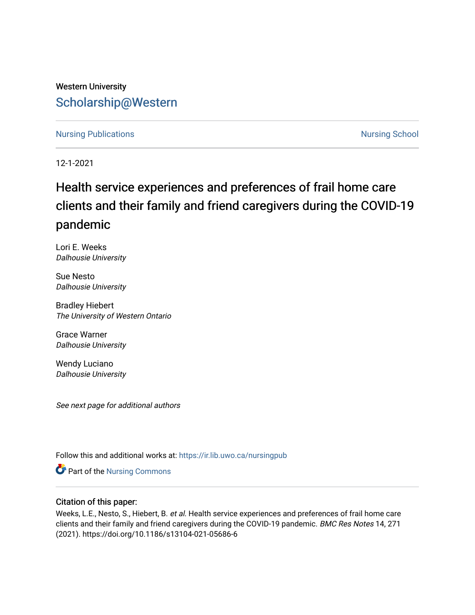## Western University [Scholarship@Western](https://ir.lib.uwo.ca/)

## [Nursing Publications](https://ir.lib.uwo.ca/nursingpub) **Nursing School**

12-1-2021

## Health service experiences and preferences of frail home care clients and their family and friend caregivers during the COVID-19 pandemic

Lori E. Weeks Dalhousie University

Sue Nesto Dalhousie University

Bradley Hiebert The University of Western Ontario

Grace Warner Dalhousie University

Wendy Luciano Dalhousie University

See next page for additional authors

Follow this and additional works at: [https://ir.lib.uwo.ca/nursingpub](https://ir.lib.uwo.ca/nursingpub?utm_source=ir.lib.uwo.ca%2Fnursingpub%2F357&utm_medium=PDF&utm_campaign=PDFCoverPages)

Part of the [Nursing Commons](http://network.bepress.com/hgg/discipline/718?utm_source=ir.lib.uwo.ca%2Fnursingpub%2F357&utm_medium=PDF&utm_campaign=PDFCoverPages) 

## Citation of this paper:

Weeks, L.E., Nesto, S., Hiebert, B. et al. Health service experiences and preferences of frail home care clients and their family and friend caregivers during the COVID-19 pandemic. BMC Res Notes 14, 271 (2021). https://doi.org/10.1186/s13104-021-05686-6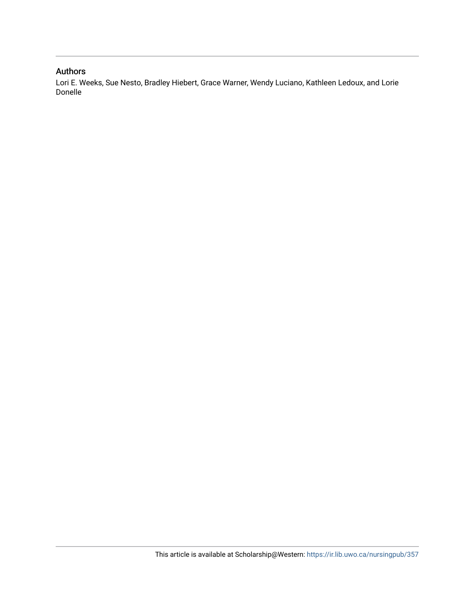## Authors

Lori E. Weeks, Sue Nesto, Bradley Hiebert, Grace Warner, Wendy Luciano, Kathleen Ledoux, and Lorie Donelle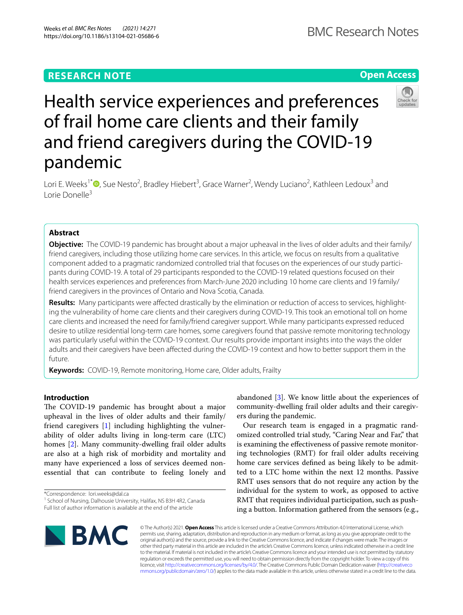## **RESEARCH NOTE**

## **Open Access**



# Health service experiences and preferences of frail home care clients and their family and friend caregivers during the COVID-19 pandemic

Lori E. Weeks<sup>1\*</sup><sup>®</sup>[,](http://orcid.org/0000-0001-5334-3320) Sue Nesto<sup>2</sup>, Bradley Hiebert<sup>3</sup>, Grace Warner<sup>2</sup>, Wendy Luciano<sup>2</sup>, Kathleen Ledoux<sup>3</sup> and Lorie Donelle3

## **Abstract**

**Objective:** The COVID-19 pandemic has brought about a major upheaval in the lives of older adults and their family/ friend caregivers, including those utilizing home care services. In this article, we focus on results from a qualitative component added to a pragmatic randomized controlled trial that focuses on the experiences of our study participants during COVID-19. A total of 29 participants responded to the COVID-19 related questions focused on their health services experiences and preferences from March-June 2020 including 10 home care clients and 19 family/ friend caregivers in the provinces of Ontario and Nova Scotia, Canada.

**Results:** Many participants were afected drastically by the elimination or reduction of access to services, highlighting the vulnerability of home care clients and their caregivers during COVID-19. This took an emotional toll on home care clients and increased the need for family/friend caregiver support. While many participants expressed reduced desire to utilize residential long-term care homes, some caregivers found that passive remote monitoring technology was particularly useful within the COVID-19 context. Our results provide important insights into the ways the older adults and their caregivers have been afected during the COVID-19 context and how to better support them in the future.

**Keywords:** COVID-19, Remote monitoring, Home care, Older adults, Frailty

### **Introduction**

The COVID-19 pandemic has brought about a major upheaval in the lives of older adults and their family/ friend caregivers [\[1](#page-6-0)] including highlighting the vulnerability of older adults living in long-term care (LTC) homes [[2\]](#page-6-1). Many community-dwelling frail older adults are also at a high risk of morbidity and mortality and many have experienced a loss of services deemed nonessential that can contribute to feeling lonely and abandoned [[3\]](#page-6-2). We know little about the experiences of community-dwelling frail older adults and their caregivers during the pandemic.

Our research team is engaged in a pragmatic randomized controlled trial study, "Caring Near and Far," that is examining the efectiveness of passive remote monitoring technologies (RMT) for frail older adults receiving home care services defned as being likely to be admitted to a LTC home within the next 12 months. Passive RMT uses sensors that do not require any action by the individual for the system to work, as opposed to active RMT that requires individual participation, such as pushing a button. Information gathered from the sensors (e.g.,



© The Author(s) 2021. **Open Access** This article is licensed under a Creative Commons Attribution 4.0 International License, which permits use, sharing, adaptation, distribution and reproduction in any medium or format, as long as you give appropriate credit to the original author(s) and the source, provide a link to the Creative Commons licence, and indicate if changes were made. The images or other third party material in this article are included in the article's Creative Commons licence, unless indicated otherwise in a credit line to the material. If material is not included in the article's Creative Commons licence and your intended use is not permitted by statutory regulation or exceeds the permitted use, you will need to obtain permission directly from the copyright holder. To view a copy of this licence, visit [http://creativecommons.org/licenses/by/4.0/.](http://creativecommons.org/licenses/by/4.0/) The Creative Commons Public Domain Dedication waiver ([http://creativeco](http://creativecommons.org/publicdomain/zero/1.0/) [mmons.org/publicdomain/zero/1.0/](http://creativecommons.org/publicdomain/zero/1.0/)) applies to the data made available in this article, unless otherwise stated in a credit line to the data.

<sup>\*</sup>Correspondence: lori.weeks@dal.ca

<sup>&</sup>lt;sup>1</sup> School of Nursing, Dalhousie University, Halifax, NS B3H 4R2, Canada Full list of author information is available at the end of the article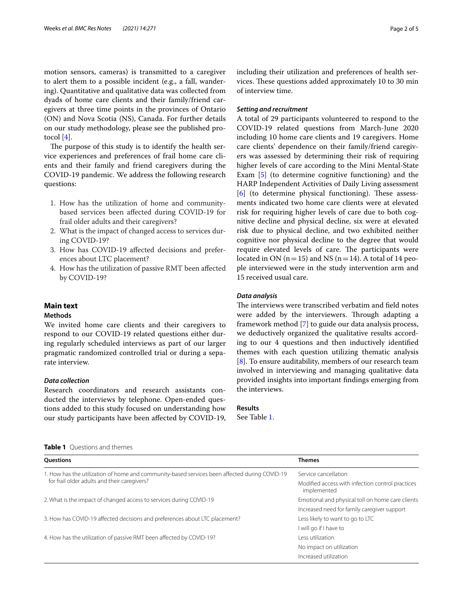motion sensors, cameras) is transmitted to a caregiver to alert them to a possible incident (e.g., a fall, wandering). Quantitative and qualitative data was collected from dyads of home care clients and their family/friend caregivers at three time points in the provinces of Ontario (ON) and Nova Scotia (NS), Canada. For further details on our study methodology, please see the published protocol [[4\]](#page-6-3).

The purpose of this study is to identify the health service experiences and preferences of frail home care clients and their family and friend caregivers during the COVID-19 pandemic. We address the following research questions:

- 1. How has the utilization of home and communitybased services been afected during COVID-19 for frail older adults and their caregivers?
- 2. What is the impact of changed access to services during COVID-19?
- 3. How has COVID-19 afected decisions and preferences about LTC placement?
- 4. How has the utilization of passive RMT been afected by COVID-19?

#### **Main text**

#### **Methods**

We invited home care clients and their caregivers to respond to our COVID-19 related questions either during regularly scheduled interviews as part of our larger pragmatic randomized controlled trial or during a separate interview.

#### *Data collection*

Research coordinators and research assistants conducted the interviews by telephone. Open-ended questions added to this study focused on understanding how our study participants have been afected by COVID-19, including their utilization and preferences of health services. These questions added approximately 10 to 30 min of interview time.

#### *Setting and recruitment*

A total of 29 participants volunteered to respond to the COVID-19 related questions from March-June 2020 including 10 home care clients and 19 caregivers. Home care clients' dependence on their family/friend caregivers was assessed by determining their risk of requiring higher levels of care according to the Mini Mental-State Exam [\[5](#page-6-4)] (to determine cognitive functioning) and the HARP Independent Activities of Daily Living assessment  $[6]$  $[6]$  (to determine physical functioning). These assessments indicated two home care clients were at elevated risk for requiring higher levels of care due to both cognitive decline and physical decline, six were at elevated risk due to physical decline, and two exhibited neither cognitive nor physical decline to the degree that would require elevated levels of care. The participants were located in ON ( $n=15$ ) and NS ( $n=14$ ). A total of 14 people interviewed were in the study intervention arm and 15 received usual care.

#### *Data analysis*

The interviews were transcribed verbatim and field notes were added by the interviewers. Through adapting a framework method [\[7](#page-6-6)] to guide our data analysis process, we deductively organized the qualitative results according to our 4 questions and then inductively identifed themes with each question utilizing thematic analysis [[8\]](#page-6-7). To ensure auditability, members of our research team involved in interviewing and managing qualitative data provided insights into important fndings emerging from the interviews.

## **Results**

See Table [1.](#page-3-0)

<span id="page-3-0"></span>

|  | <b>Table 1</b> Questions and themes |
|--|-------------------------------------|
|--|-------------------------------------|

| <b>Ouestions</b>                                                                              | <b>Themes</b>                                                   |
|-----------------------------------------------------------------------------------------------|-----------------------------------------------------------------|
| 1. How has the utilization of home and community-based services been affected during COVID-19 | Service cancellation                                            |
| for frail older adults and their caregivers?                                                  | Modified access with infection control practices<br>implemented |
| 2. What is the impact of changed access to services during COVID-19                           | Emotional and physical toll on home care clients                |
|                                                                                               | Increased need for family caregiver support                     |
| 3. How has COVID-19 affected decisions and preferences about LTC placement?                   | Less likely to want to go to LTC                                |
|                                                                                               | I will go if I have to                                          |
| 4. How has the utilization of passive RMT been affected by COVID-19?                          | Less utilization                                                |
|                                                                                               | No impact on utilization                                        |
|                                                                                               | Increased utilization                                           |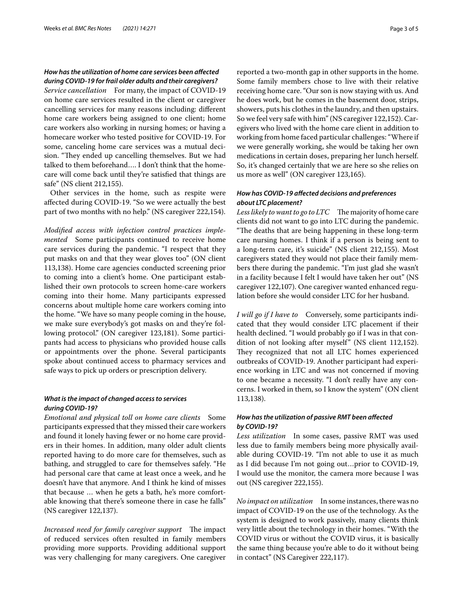#### *How has the utilization of home care services been afected during COVID‑19 for frail older adults and their caregivers?*

*Service cancellation* For many, the impact of COVID-19 on home care services resulted in the client or caregiver cancelling services for many reasons including: diferent home care workers being assigned to one client; home care workers also working in nursing homes; or having a homecare worker who tested positive for COVID-19. For some, canceling home care services was a mutual decision. "They ended up cancelling themselves. But we had talked to them beforehand…. I don't think that the homecare will come back until they're satisfed that things are safe" (NS client 212,155).

Other services in the home, such as respite were afected during COVID-19. "So we were actually the best part of two months with no help." (NS caregiver 222,154).

*Modifed access with infection control practices implemented* Some participants continued to receive home care services during the pandemic. "I respect that they put masks on and that they wear gloves too" (ON client 113,138). Home care agencies conducted screening prior to coming into a client's home. One participant established their own protocols to screen home-care workers coming into their home. Many participants expressed concerns about multiple home care workers coming into the home. "We have so many people coming in the house, we make sure everybody's got masks on and they're following protocol." (ON caregiver 123,181). Some participants had access to physicians who provided house calls or appointments over the phone. Several participants spoke about continued access to pharmacy services and safe ways to pick up orders or prescription delivery.

#### *What is the impact of changed access to services during COVID‑19?*

*Emotional and physical toll on home care clients* Some participants expressed that they missed their care workers and found it lonely having fewer or no home care providers in their homes. In addition, many older adult clients reported having to do more care for themselves, such as bathing, and struggled to care for themselves safely. "He had personal care that came at least once a week, and he doesn't have that anymore. And I think he kind of misses that because … when he gets a bath, he's more comfortable knowing that there's someone there in case he falls" (NS caregiver 122,137).

*Increased need for family caregiver support* The impact of reduced services often resulted in family members providing more supports. Providing additional support was very challenging for many caregivers. One caregiver reported a two-month gap in other supports in the home. Some family members chose to live with their relative receiving home care. "Our son is now staying with us. And he does work, but he comes in the basement door, strips, showers, puts his clothes in the laundry, and then upstairs. So we feel very safe with him" (NS caregiver 122,152). Caregivers who lived with the home care client in addition to working from home faced particular challenges: "Where if we were generally working, she would be taking her own medications in certain doses, preparing her lunch herself. So, it's changed certainly that we are here so she relies on us more as well" (ON caregiver 123,165).

#### *How has COVID‑19 afected decisions and preferences about LTC placement?*

Less likely to want to go to LTC The majority of home care clients did not want to go into LTC during the pandemic. "The deaths that are being happening in these long-term care nursing homes. I think if a person is being sent to a long-term care, it's suicide" (NS client 212,155). Most caregivers stated they would not place their family members there during the pandemic. "I'm just glad she wasn't in a facility because I felt I would have taken her out" (NS caregiver 122,107). One caregiver wanted enhanced regulation before she would consider LTC for her husband.

*I will go if I have to* Conversely, some participants indicated that they would consider LTC placement if their health declined. "I would probably go if I was in that condition of not looking after myself" (NS client 112,152). They recognized that not all LTC homes experienced outbreaks of COVID-19. Another participant had experience working in LTC and was not concerned if moving to one became a necessity. "I don't really have any concerns. I worked in them, so I know the system" (ON client 113,138).

#### *How has the utilization of passive RMT been afected by COVID‑19?*

*Less utilization* In some cases, passive RMT was used less due to family members being more physically available during COVID-19. "I'm not able to use it as much as I did because I'm not going out…prior to COVID-19, I would use the monitor, the camera more because I was out (NS caregiver 222,155).

*No impact on utilization* In some instances, there was no impact of COVID-19 on the use of the technology. As the system is designed to work passively, many clients think very little about the technology in their homes. "With the COVID virus or without the COVID virus, it is basically the same thing because you're able to do it without being in contact" (NS Caregiver 222,117).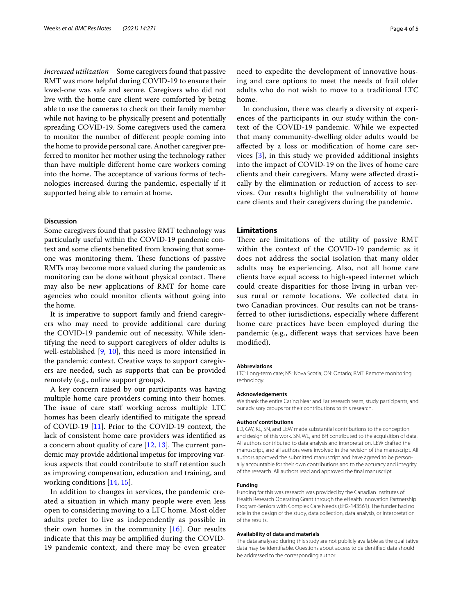*Increased utilization* Some caregivers found that passive RMT was more helpful during COVID-19 to ensure their loved-one was safe and secure. Caregivers who did not live with the home care client were comforted by being able to use the cameras to check on their family member while not having to be physically present and potentially spreading COVID-19. Some caregivers used the camera to monitor the number of diferent people coming into the home to provide personal care. Another caregiver preferred to monitor her mother using the technology rather than have multiple diferent home care workers coming into the home. The acceptance of various forms of technologies increased during the pandemic, especially if it supported being able to remain at home.

#### **Discussion**

Some caregivers found that passive RMT technology was particularly useful within the COVID-19 pandemic context and some clients benefted from knowing that someone was monitoring them. These functions of passive RMTs may become more valued during the pandemic as monitoring can be done without physical contact. There may also be new applications of RMT for home care agencies who could monitor clients without going into the home.

It is imperative to support family and friend caregivers who may need to provide additional care during the COVID-19 pandemic out of necessity. While identifying the need to support caregivers of older adults is well-established [[9,](#page-6-8) [10\]](#page-6-9), this need is more intensifed in the pandemic context. Creative ways to support caregivers are needed, such as supports that can be provided remotely (e.g., online support groups).

A key concern raised by our participants was having multiple home care providers coming into their homes. The issue of care staff working across multiple LTC homes has been clearly identifed to mitigate the spread of COVID-19 [\[11](#page-6-10)]. Prior to the COVID-19 context, the lack of consistent home care providers was identifed as a concern about quality of care  $[12, 13]$  $[12, 13]$  $[12, 13]$  $[12, 13]$ . The current pandemic may provide additional impetus for improving various aspects that could contribute to staff retention such as improving compensation, education and training, and working conditions [\[14](#page-6-13), [15](#page-6-14)].

In addition to changes in services, the pandemic created a situation in which many people were even less open to considering moving to a LTC home. Most older adults prefer to live as independently as possible in their own homes in the community  $[16]$  $[16]$ . Our results indicate that this may be amplifed during the COVID-19 pandemic context, and there may be even greater need to expedite the development of innovative housing and care options to meet the needs of frail older adults who do not wish to move to a traditional LTC home.

In conclusion, there was clearly a diversity of experiences of the participants in our study within the context of the COVID-19 pandemic. While we expected that many community-dwelling older adults would be afected by a loss or modifcation of home care services [\[3](#page-6-2)], in this study we provided additional insights into the impact of COVID-19 on the lives of home care clients and their caregivers. Many were afected drastically by the elimination or reduction of access to services. Our results highlight the vulnerability of home care clients and their caregivers during the pandemic.

#### **Limitations**

There are limitations of the utility of passive RMT within the context of the COVID-19 pandemic as it does not address the social isolation that many older adults may be experiencing. Also, not all home care clients have equal access to high-speed internet which could create disparities for those living in urban versus rural or remote locations. We collected data in two Canadian provinces. Our results can not be transferred to other jurisdictions, especially where diferent home care practices have been employed during the pandemic (e.g., diferent ways that services have been modifed).

#### **Abbreviations**

LTC: Long-term care; NS: Nova Scotia; ON: Ontario; RMT: Remote monitoring technology.

#### **Acknowledgements**

We thank the entire Caring Near and Far research team, study participants, and our advisory groups for their contributions to this research.

#### **Authors' contributions**

LD, GW, KL, SN, and LEW made substantial contributions to the conception and design of this work. SN, WL, and BH contributed to the acquisition of data. All authors contributed to data analysis and interpretation. LEW drafted the manuscript, and all authors were involved in the revision of the manuscript. All authors approved the submitted manuscript and have agreed to be personally accountable for their own contributions and to the accuracy and integrity of the research. All authors read and approved the fnal manuscript.

#### **Funding**

Funding for this was research was provided by the Canadian Institutes of Health Research Operating Grant through the eHealth Innovation Partnership Program-Seniors with Complex Care Needs (EH2-143561). The funder had no role in the design of the study, data collection, data analysis, or interpretation of the results.

#### **Availability of data and materials**

The data analysed during this study are not publicly available as the qualitative data may be identifable. Questions about access to deidentifed data should be addressed to the corresponding author.